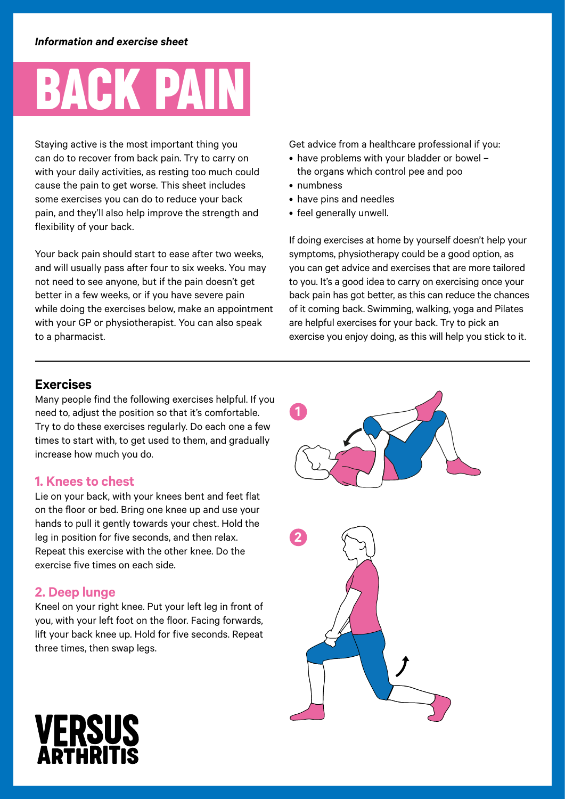## BACK PAIN

Staying active is the most important thing you can do to recover from back pain. Try to carry on with your daily activities, as resting too much could cause the pain to get worse. This sheet includes some exercises you can do to reduce your back pain, and they'll also help improve the strength and flexibility of your back.

Your back pain should start to ease after two weeks, and will usually pass after four to six weeks. You may not need to see anyone, but if the pain doesn't get better in a few weeks, or if you have severe pain while doing the exercises below, make an appointment with your GP or physiotherapist. You can also speak to a pharmacist.

Get advice from a healthcare professional if you:

- have problems with your bladder or bowel the organs which control pee and poo
- numbness
- have pins and needles
- feel generally unwell.

If doing exercises at home by yourself doesn't help your symptoms, physiotherapy could be a good option, as you can get advice and exercises that are more tailored to you. It's a good idea to carry on exercising once your back pain has got better, as this can reduce the chances of it coming back. Swimming, walking, yoga and Pilates are helpful exercises for your back. Try to pick an exercise you enjoy doing, as this will help you stick to it.

## **Exercises**

Many people find the following exercises helpful. If you need to, adjust the position so that it's comfortable. Try to do these exercises regularly. Do each one a few times to start with, to get used to them, and gradually increase how much you do.

### **1. Knees to chest**

Lie on your back, with your knees bent and feet flat on the floor or bed. Bring one knee up and use your hands to pull it gently towards your chest. Hold the leg in position for five seconds, and then relax. Repeat this exercise with the other knee. Do the exercise five times on each side.

## **2. Deep lunge**

Kneel on your right knee. Put your left leg in front of you, with your left foot on the floor. Facing forwards, lift your back knee up. Hold for five seconds. Repeat three times, then swap legs.